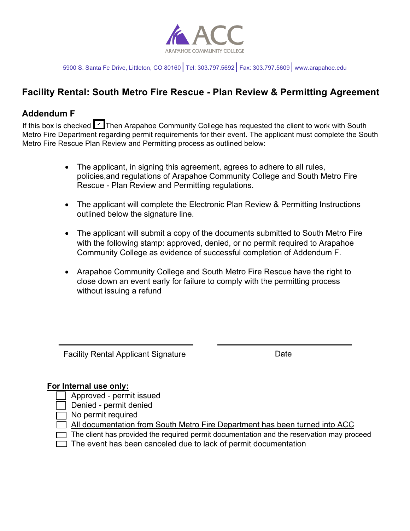

5900 S. Santa Fe Drive, Littleton, CO 80160│Tel: 303.797.5692│Fax: 303.797.5609│www.arapahoe.edu

## **Facility Rental: South Metro Fire Rescue - Plan Review & Permitting Agreement**

### **Addendum F**

If this box is checked MIThen Arapahoe Community College has requested the client to work with South Metro Fire Department regarding permit requirements for their event. The applicant must complete the South Metro Fire Rescue Plan Review and Permitting process as outlined below:

- The applicant, in signing this agreement, agrees to adhere to all rules, policies,and regulations of Arapahoe Community College and South Metro Fire Rescue - Plan Review and Permitting regulations.
- The applicant will complete the Electronic Plan Review & Permitting Instructions outlined below the signature line.
- The applicant will submit a copy of the documents submitted to South Metro Fire with the following stamp: approved, denied, or no permit required to Arapahoe Community College as evidence of successful completion of Addendum F.
- Arapahoe Community College and South Metro Fire Rescue have the right to close down an event early for failure to comply with the permitting process without issuing a refund

Facility Rental Applicant Signature **Example 2018** Date

### **For Internal use only:**

- Approved permit issued
- Denied permit denied
- $\Box$  No permit required
- All documentation from South Metro Fire Department has been turned into ACC
- $\Box$  The client has provided the required permit documentation and the reservation may proceed
- $\Box$  The event has been canceled due to lack of permit documentation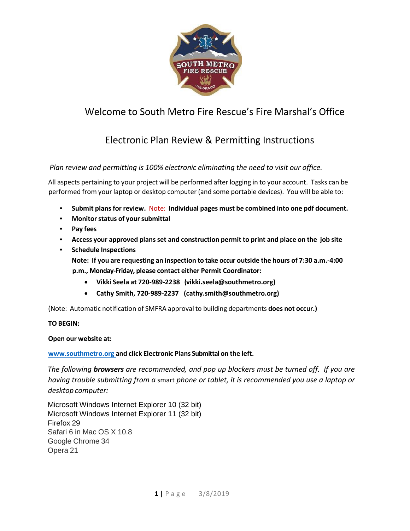

# Welcome to South Metro Fire Rescue's Fire Marshal's Office

# Electronic Plan Review & Permitting Instructions

### *Plan review and permitting is 100% electronic eliminating the need to visit our office.*

All aspects pertaining to your project will be performed after logging in to your account. Tasks can be performed from your laptop or desktop computer (and some portable devices). You will be able to:

- **Submit plansfor review.** Note: **Individual pages must be combined into one pdf document.**
- **Monitorstatus of yoursubmittal**
- **Pay fees**
- **Access your approved plansset and construction permit to print and place on the job site**
- **Schedule Inspections Note: If you are requesting an inspection to take occur outside the hours of 7:30 a.m.‐4:00 p.m., Monday-Friday, please contact either Permit Coordinator:** 
	- **Vikki Seela at 720‐989‐2238 [\(vikki.seela@southmetro.org\)](mailto:vikki.seela@southmetro.org)**
	- **Cathy Smith, 720-989-2237 (cathy.smith@southmetro.org)**

(Note: Automatic notification of SMFRA approval to building departments **does not occur.)**

### **TO BEGIN:**

### **Open our website at:**

### **[www.southmetro.org](http://www.southmetro.org/) and click Electronic Plans Submittal on the left.**

*The following browsers are recommended, and pop up blockers must be turned off. If you are having trouble submitting from a* smart *phone or tablet, it is recommended you use a laptop or desktop computer:*

Microsoft Windows Internet Explorer 10 (32 bit) Microsoft Windows Internet Explorer 11 (32 bit) Firefox 29 Safari 6 in Mac OS X 10.8 Google Chrome 34 Opera 21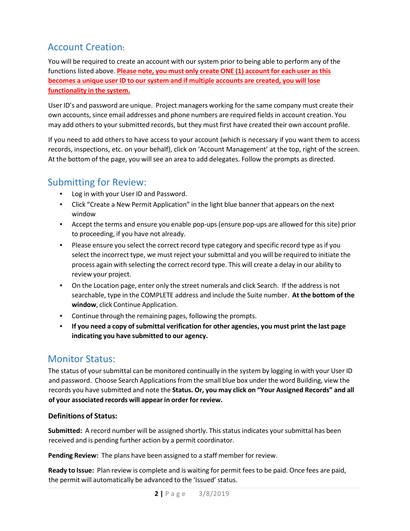# Account Creation:

You will be required to create an account with our system prior to being able to perform any of the functions listed above. **Please note, you must only create ONE (1) account for each user asthis becomes a unique user ID to our system and if multiple accounts are created, you will lose functionality in the system.**

User ID's and password are unique. Project managers working for the same company must create their own accounts, since email addresses and phone numbers are required fields in account creation. You may add others to your submitted records, but they must first have created their own account profile.

If you need to add others to have access to your account (which is necessary if you want them to access records, inspections, etc. on your behalf), click on 'Account Management' at the top, right of the screen. At the bottom of the page, you will see an area to add delegates. Follow the prompts as directed.

# Submitting for Review:

- Log in with your User ID and Password.
- Click "Create a New Permit Application" in the light blue banner that appears on the next window
- Accept the terms and ensure you enable pop-ups (ensure pop-ups are allowed for this site) prior to proceeding, if you have not already.
- Please ensure you select the correct record type category and specific record type as if you select the incorrect type, we must reject your submittal and you will be required to initiate the process again with selecting the correct record type. This will create a delay in our ability to review your project.
- On the Location page, enter only the street numerals and click Search. If the address is not searchable, type in the COMPLETE address and include the Suite number. **At the bottom of the window**, click Continue Application.
- Continue through the remaining pages, following the prompts.
- **If you need a copy of submittal verification for other agencies, you must print the last page indicating you have submitted to our agency.**

# Monitor Status:

The status of your submittal can be monitored continually in the system by logging in with your User ID and password. Choose Search Applications from the small blue box under the word Building, view the records you have submitted and note the **Status. Or, you may click on "Your Assigned Records" and all of your associated records will appear in order for review.**

### **Definitions of Status:**

**Submitted:** A record number will be assigned shortly. This status indicates yoursubmittal has been received and is pending further action by a permit coordinator.

**Pending Review:** The plans have been assigned to a staff member for review.

**Ready to Issue:** Plan review is complete and is waiting for permit fees to be paid. Once fees are paid, the permit will automatically be advanced to the 'Issued' status.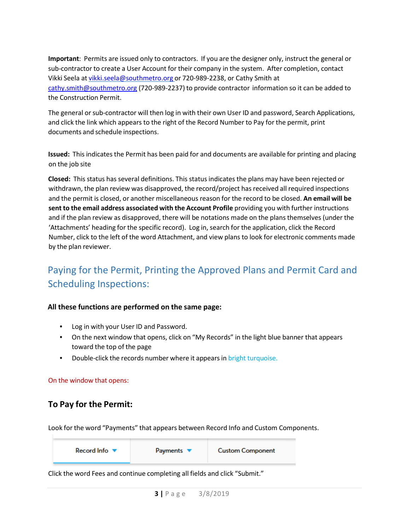**Important**: Permits are issued only to contractors. If you are the designer only, instruct the general or sub‐contractor to create a User Account for their company in the system. After completion, contact Vikki Seela at [vikki.seela@southmetro.org](mailto:vikki.seela@southmetro.org) or 720‐989‐2238, or Cathy Smith at [cathy.smith@southmetro.org](mailto:cathy.smith@southmetro.org) (720-989-2237) to provide contractor information so it can be added to the Construction Permit.

The general or sub-contractor will then log in with their own User ID and password, Search Applications, and click the link which appears to the right of the Record Number to Pay for the permit, print documents and schedule inspections.

**Issued:** This indicates the Permit has been paid for and documents are available for printing and placing on the job site

**Closed:** This status has several definitions. This status indicates the plans may have been rejected or withdrawn, the plan review was disapproved, the record/project has received all required inspections and the permit is closed, or another miscellaneous reason for the record to be closed. **An email will be sent to the email address associated with the Account Profile** providing you with further instructions and if the plan review as disapproved, there will be notations made on the plans themselves (under the 'Attachments' heading for the specific record). Log in, search for the application, click the Record Number, click to the left of the word Attachment, and view plans to look for electronic comments made by the plan reviewer.

# Paying for the Permit, Printing the Approved Plans and Permit Card and Scheduling Inspections:

### **All these functions are performed on the same page:**

- Log in with your User ID and Password.
- On the next window that opens, click on "My Records" in the light blue banner that appears toward the top of the page
- Double-click the records number where it appears in bright turquoise.

#### On the window that opens:

### **To Pay for the Permit:**

Look for the word "Payments" that appears between Record Info and Custom Components.

| Record Info $\blacktriangledown$ | Payments $\blacktriangledown$ | <b>Custom Component</b> |
|----------------------------------|-------------------------------|-------------------------|
|----------------------------------|-------------------------------|-------------------------|

Click the word Fees and continue completing all fields and click "Submit."